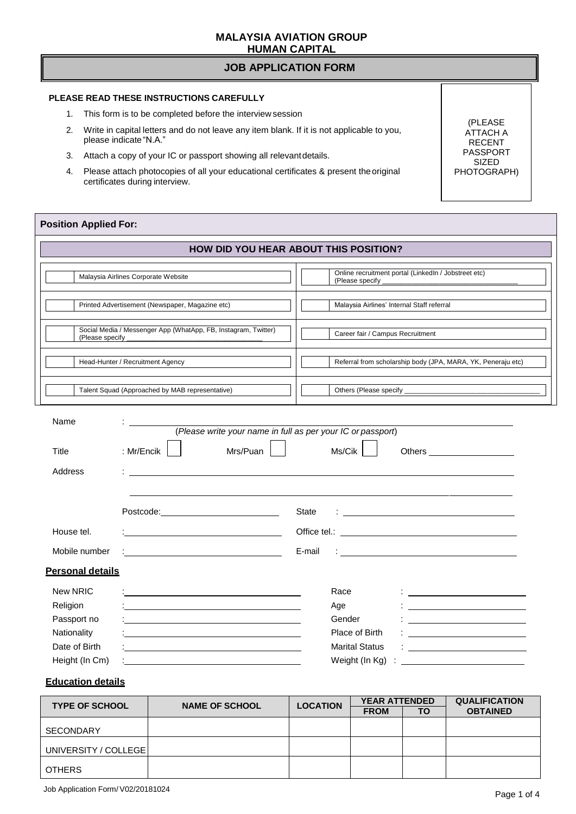#### **MALAYSIA AVIATION GROUP HUMAN CAPITAL**

#### **JOB APPLICATION FORM**

#### **PLEASE READ THESE INSTRUCTIONS CAREFULLY**

- 1. This form is to be completed before the interview session
- 2. Write in capital letters and do not leave any item blank. If it is not applicable to you, please indicate"N.A."
- 3. Attach a copy of your IC or passport showing all relevantdetails.
- 4. Please attach photocopies of all your educational certificates & present theoriginal certificates during interview.

(PLEASE ATTACH A RECENT PASSPORT SIZED PHOTOGRAPH)

#### **Position Applied For:**

|                                                                            |                                                                                       | <b>HOW DID YOU HEAR ABOUT THIS POSITION?</b>                                                                                                                                |
|----------------------------------------------------------------------------|---------------------------------------------------------------------------------------|-----------------------------------------------------------------------------------------------------------------------------------------------------------------------------|
|                                                                            | Malaysia Airlines Corporate Website                                                   | Online recruitment portal (LinkedIn / Jobstreet etc)<br>(Please specify                                                                                                     |
|                                                                            | Printed Advertisement (Newspaper, Magazine etc)                                       | Malaysia Airlines' Internal Staff referral                                                                                                                                  |
| (Please specify                                                            | Social Media / Messenger App (WhatApp, FB, Instagram, Twitter)                        | Career fair / Campus Recruitment                                                                                                                                            |
|                                                                            | Head-Hunter / Recruitment Agency                                                      | Referral from scholarship body (JPA, MARA, YK, Peneraju etc)                                                                                                                |
|                                                                            | Talent Squad (Approached by MAB representative)                                       |                                                                                                                                                                             |
| Name<br>Title                                                              | (Please write your name in full as per your IC or passport)<br>: Mr/Encik<br>Mrs/Puan | Ms/Cik<br>Others ______________________                                                                                                                                     |
| Address                                                                    |                                                                                       | State                                                                                                                                                                       |
| House tel.                                                                 |                                                                                       |                                                                                                                                                                             |
| Mobile number                                                              |                                                                                       | E-mail<br><u> 1989 - Johann Stoff, deutscher Stoffen und der Stoffen und der Stoffen und der Stoffen und der Stoffen und der</u>                                            |
| <b>Personal details</b>                                                    |                                                                                       |                                                                                                                                                                             |
| <b>New NRIC</b><br>Religion<br>Passport no<br>Nationality<br>Date of Birth | <u> 1980 - Andrea Andrew Maria (h. 1980).</u>                                         | Race<br><u> 1989 - Jan Samuel Barbara, político e a f</u><br>Age<br>Gender<br>Place of Birth<br><u> 1989 - Johann Barbara, martin amerikan per</u><br><b>Marital Status</b> |
| Height (In Cm)                                                             |                                                                                       | Weight (In Kg)                                                                                                                                                              |

## **Education details**

| <b>TYPE OF SCHOOL</b> | <b>NAME OF SCHOOL</b> | <b>LOCATION</b> | <b>YEAR ATTENDED</b> |    | <b>QUALIFICATION</b> |
|-----------------------|-----------------------|-----------------|----------------------|----|----------------------|
|                       |                       |                 | <b>FROM</b>          | ΤО | <b>OBTAINED</b>      |
|                       |                       |                 |                      |    |                      |
| <b>SECONDARY</b>      |                       |                 |                      |    |                      |
| UNIVERSITY / COLLEGEI |                       |                 |                      |    |                      |
| <b>OTHERS</b>         |                       |                 |                      |    |                      |
|                       |                       |                 |                      |    |                      |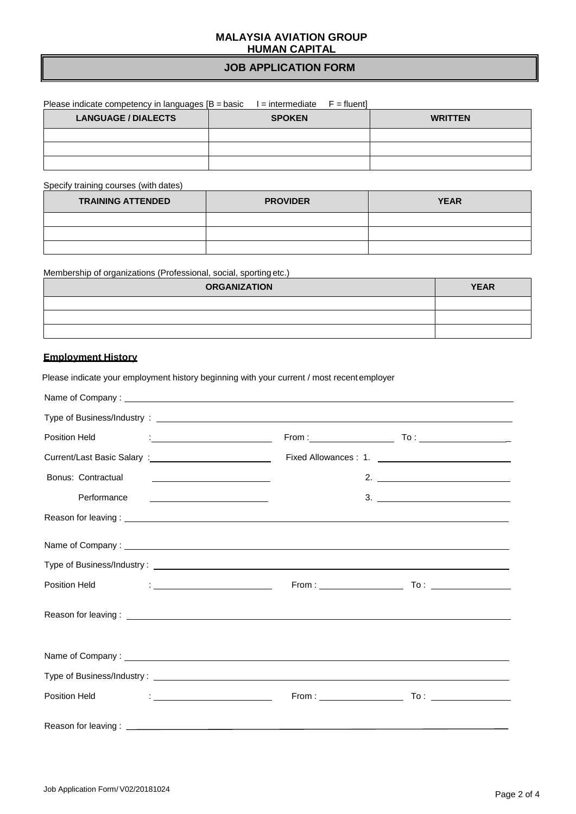## **MALAYSIA AVIATION GROUP HUMAN CAPITAL**

# **JOB APPLICATION FORM**

| Please indicate competency in languages $[B = basic$ | $I =$ intermediate $F =$ fluent |                |
|------------------------------------------------------|---------------------------------|----------------|
| <b>LANGUAGE / DIALECTS</b>                           | <b>SPOKEN</b>                   | <b>WRITTEN</b> |
|                                                      |                                 |                |
|                                                      |                                 |                |
|                                                      |                                 |                |

Specify training courses (with dates)

| <b>TRAINING ATTENDED</b> | <b>PROVIDER</b> | <b>YEAR</b> |
|--------------------------|-----------------|-------------|
|                          |                 |             |
|                          |                 |             |
|                          |                 |             |

Membership of organizations (Professional, social, sporting etc.)

Please indicate your employment history beginning with your current / most recentemployer

| <b>ORGANIZATION</b> | <b>YEAR</b> |
|---------------------|-------------|
|                     |             |
|                     |             |
|                     |             |

## **Employment History**

| Position Held                                                                                                                                                                                                                                      |                                                                                     |
|----------------------------------------------------------------------------------------------------------------------------------------------------------------------------------------------------------------------------------------------------|-------------------------------------------------------------------------------------|
|                                                                                                                                                                                                                                                    |                                                                                     |
| Bonus: Contractual<br><u> Alexandria de la contenentación de la contenentación de la contenentación de la contenentación de la contene</u>                                                                                                         |                                                                                     |
| Performance<br><u> Alexandria de la contrada de la contrada de la contrada de la contrada de la contrada de la contrada de la c</u>                                                                                                                | $\begin{array}{c}\n3. \quad \textcolor{blue}{\overbrace{\text{2.22}}}\n\end{array}$ |
|                                                                                                                                                                                                                                                    |                                                                                     |
|                                                                                                                                                                                                                                                    |                                                                                     |
|                                                                                                                                                                                                                                                    |                                                                                     |
| Position Held<br><u> 1986 - Jan Stein Stein Stein Stein Stein Stein Stein Stein Stein Stein Stein Stein Stein Stein Stein Stein S</u>                                                                                                              |                                                                                     |
| Reason for leaving: <u>example and the set of the set of the set of the set of the set of the set of the set of the set of the set of the set of the set of the set of the set of the set of the set of the set of the set of th</u>               |                                                                                     |
|                                                                                                                                                                                                                                                    |                                                                                     |
| Type of Business/Industry: Letter and American control of the Control of Type of Business/Industry:                                                                                                                                                |                                                                                     |
| $\frac{1}{2}$ . The contract of the contract of the contract of the contract of the contract of the contract of the contract of the contract of the contract of the contract of the contract of the contract of the contract of t<br>Position Held |                                                                                     |
|                                                                                                                                                                                                                                                    |                                                                                     |

Job Application Form/V02/20181024 Job Application Form/V02/20181024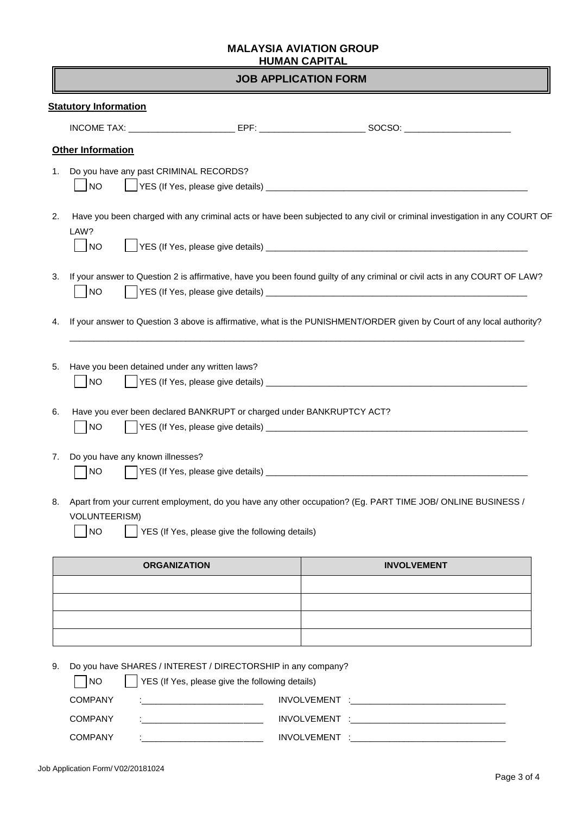# **MALAYSIA AVIATION GROUP HUMAN CAPITAL**

# **JOB APPLICATION FORM**

|                      |                                                             |                                                                       | INCOME TAX: ___________________________EPF: ___________________________SOCSO: ______________________                       |
|----------------------|-------------------------------------------------------------|-----------------------------------------------------------------------|----------------------------------------------------------------------------------------------------------------------------|
|                      | <b>Other Information</b>                                    |                                                                       |                                                                                                                            |
| 1.                   | Do you have any past CRIMINAL RECORDS?<br> NO               |                                                                       |                                                                                                                            |
| 2.<br>LAW?           |                                                             |                                                                       | Have you been charged with any criminal acts or have been subjected to any civil or criminal investigation in any COURT OF |
|                      | <b>NO</b>                                                   |                                                                       |                                                                                                                            |
| 3.                   | <b>NO</b>                                                   |                                                                       | If your answer to Question 2 is affirmative, have you been found guilty of any criminal or civil acts in any COURT OF LAW? |
| 4.                   |                                                             |                                                                       | If your answer to Question 3 above is affirmative, what is the PUNISHMENT/ORDER given by Court of any local authority?     |
|                      |                                                             |                                                                       |                                                                                                                            |
|                      | Have you been detained under any written laws?<br><b>NO</b> |                                                                       |                                                                                                                            |
|                      | <b>NO</b>                                                   | Have you ever been declared BANKRUPT or charged under BANKRUPTCY ACT? |                                                                                                                            |
|                      | Do you have any known illnesses?<br>  NO                    |                                                                       |                                                                                                                            |
| 5.<br>6.<br>7.<br>8. | <b>VOLUNTEERISM)</b><br><b>NO</b>                           | YES (If Yes, please give the following details)                       | Apart from your current employment, do you have any other occupation? (Eg. PART TIME JOB/ ONLINE BUSINESS /                |

| <u> 1989 - Johann Stoff, amerikansk politiker (* 1908)</u> |  |
|------------------------------------------------------------|--|
|                                                            |  |
| <u> 1989 - Johann Barn, amerikansk politiker (d. 1989)</u> |  |
|                                                            |  |
|                                                            |  |

9. Do you have SHARES / INTEREST / DIRECTORSHIP in any company?

| <b>INO</b>     | YES (If Yes, please give the following details)                                                                              |                                                                                                                |
|----------------|------------------------------------------------------------------------------------------------------------------------------|----------------------------------------------------------------------------------------------------------------|
| COMPANY        | the control of the control of the control of the control of the control of                                                   | INVOLVEMENT : THE CONTROLLER STATES OF THE CONTROLLER STATES OF THE CONTROLLER STATES OF THE CONTROLLER STATES |
| <b>COMPANY</b> | <u> De Santa Carlos de Santa Carlos de Santa Carlos de Santa Carlos de Santa Carlos de Santa Carlos de Santa Carlos de S</u> |                                                                                                                |
| <b>COMPANY</b> |                                                                                                                              | <b>INVOLVEMENT</b>                                                                                             |